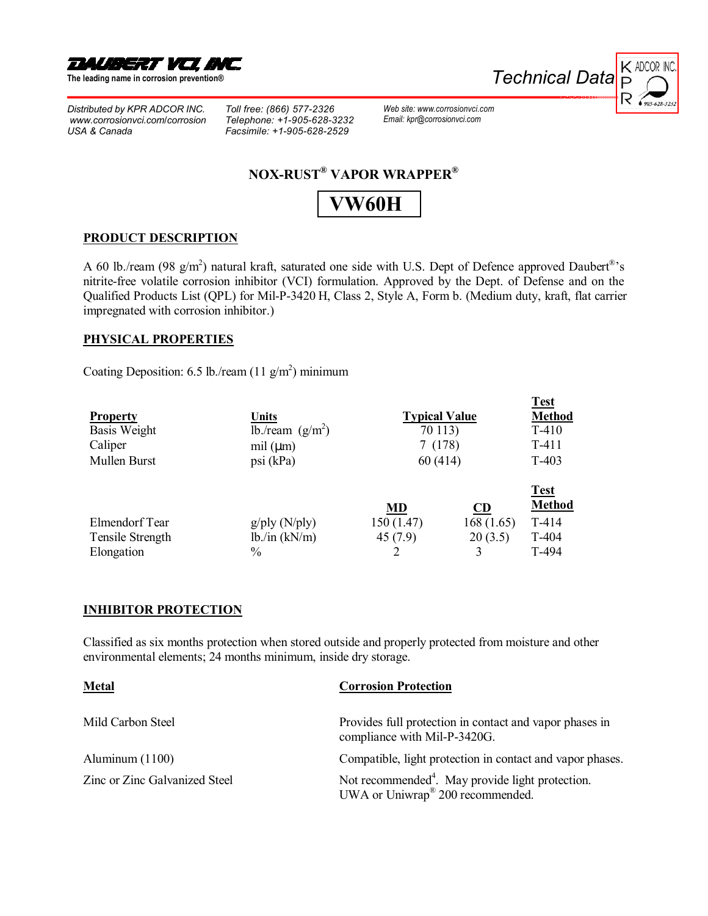

**The leading name in corrosion preventionÆ** 

*Distributed by KPR ADCOR INC.  [www.corrosionvci.com/corrosion](http://www.corrosionvci.com/corrosion/index.php) USA & Canada*

*Toll free: (866) 577-2326 Telephone: +1-905-628-3232 Facsimile: +1-905-628-2529*

*Technical Data* 



**NOX-RUST<sup>®</sup> VAPOR WRAPPER<sup>®</sup>** 

## **[VW60H](http://www.corrosionvci.com/corrosion/proddetail.php?prod=vw60H-36)**

*Web site: www.[corrosionvci.com](http://www.corrosionvci.com/corrosion/sitemap.php) Email: [kpr@corrosionvci.com](mailto:kpr@corrosionvci.com)*

#### **PRODUCT DESCRIPTION**

A 60 lb./ream (98 g/m<sup>2</sup>) natural kraft, saturated one side with U.S. Dept of Defence approved Daubert<sup>®</sup>'s nitrite-free volatile corrosion inhibitor (VCI) formulation. Approved by the Dept. of Defense and on the Qualified Products List (QPL) for Mil-P-3420 H[, Class 2, Style A, Form b](http://www.corrosionvci.com/corrosion/proddetail.php?prod=vw60H-36). (Medium duty, kraft, flat carrier impregnated with corrosion inhibitor.)

#### **PHYSICAL PROPERTIES**

Coating Deposition: 6.5 lb./ream  $(11 \text{ g/m}^2)$  minimum

| <b>Property</b><br>Basis Weight<br>Caliper<br>Mullen Burst | <b>Units</b><br>lb./ream $(g/m2)$<br>mil $(\mu m)$<br>psi (kPa) | <b>Typical Value</b><br>70 113)<br>7(178)<br>60 (414) |                                        | <b>Test</b><br><b>Method</b><br>$T-410$<br>$T-411$<br>$T-403$ |
|------------------------------------------------------------|-----------------------------------------------------------------|-------------------------------------------------------|----------------------------------------|---------------------------------------------------------------|
| Elmendorf Tear<br>Tensile Strength<br>Elongation           | $g$ /ply (N/ply)<br>lb./in (kN/m)<br>$\frac{0}{0}$              | MD<br>150(1.47)<br>45(7.9)                            | <b>CD</b><br>168(1.65)<br>20(3.5)<br>3 | <b>Test</b><br><b>Method</b><br>$T-414$<br>$T-404$<br>T-494   |

### **INHIBITOR PROTECTION**

Classified as six months protection when stored outside and properly protected from moisture and other environmental elements; 24 months minimum, inside dry storage.

| <b>Metal</b>                  | <b>Corrosion Protection</b>                                                                                  |  |
|-------------------------------|--------------------------------------------------------------------------------------------------------------|--|
| Mild Carbon Steel             | Provides full protection in contact and vapor phases in<br>compliance with Mil-P-3420G.                      |  |
| Aluminum $(1100)$             | Compatible, light protection in contact and vapor phases.                                                    |  |
| Zinc or Zinc Galvanized Steel | Not recommended <sup>4</sup> . May provide light protection.<br>UWA or Uniwrap <sup>®</sup> 200 recommended. |  |